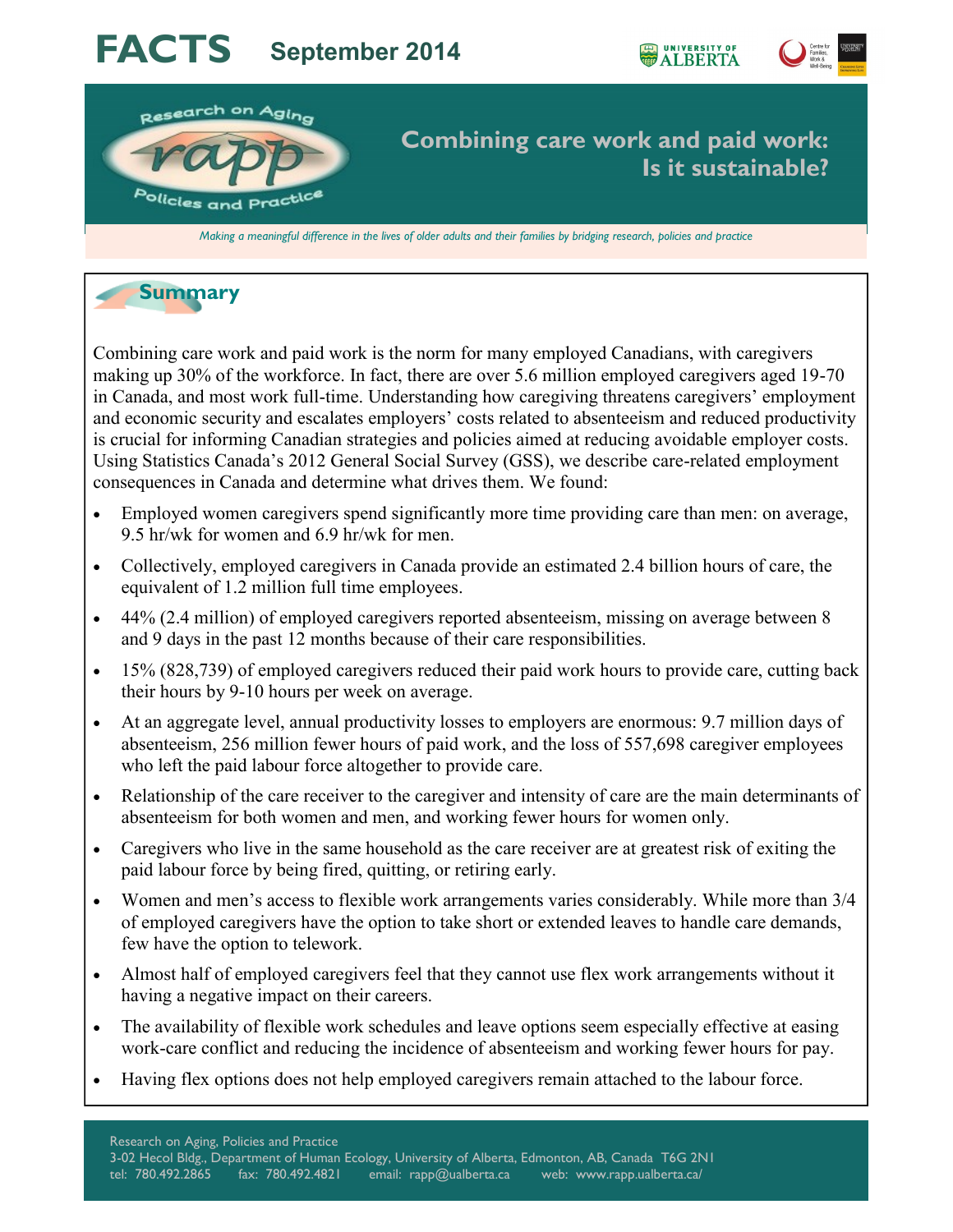# **FACTS September 2014**





*Making a meaningful difference in the lives of older adults and their families by bridging research, policies and practice*

# **Summary**

Combining care work and paid work is the norm for many employed Canadians, with caregivers making up 30% of the workforce. In fact, there are over 5.6 million employed caregivers aged 19-70 in Canada, and most work full-time. Understanding how caregiving threatens caregivers' employment and economic security and escalates employers' costs related to absenteeism and reduced productivity is crucial for informing Canadian strategies and policies aimed at reducing avoidable employer costs. Using Statistics Canada's 2012 General Social Survey (GSS), we describe care-related employment consequences in Canada and determine what drives them. We found:

- Employed women caregivers spend significantly more time providing care than men: on average, 9.5 hr/wk for women and 6.9 hr/wk for men.
- Collectively, employed caregivers in Canada provide an estimated 2.4 billion hours of care, the equivalent of 1.2 million full time employees.
- 44% (2.4 million) of employed caregivers reported absenteeism, missing on average between 8 and 9 days in the past 12 months because of their care responsibilities.
- 15% (828,739) of employed caregivers reduced their paid work hours to provide care, cutting back their hours by 9-10 hours per week on average.
- At an aggregate level, annual productivity losses to employers are enormous: 9.7 million days of absenteeism, 256 million fewer hours of paid work, and the loss of 557,698 caregiver employees who left the paid labour force altogether to provide care.
- Relationship of the care receiver to the caregiver and intensity of care are the main determinants of absenteeism for both women and men, and working fewer hours for women only.
- Caregivers who live in the same household as the care receiver are at greatest risk of exiting the paid labour force by being fired, quitting, or retiring early.
- Women and men's access to flexible work arrangements varies considerably. While more than 3/4 of employed caregivers have the option to take short or extended leaves to handle care demands, few have the option to telework.
- Almost half of employed caregivers feel that they cannot use flex work arrangements without it having a negative impact on their careers.
- The availability of flexible work schedules and leave options seem especially effective at easing work-care conflict and reducing the incidence of absenteeism and working fewer hours for pay.
- Having flex options does not help employed caregivers remain attached to the labour force.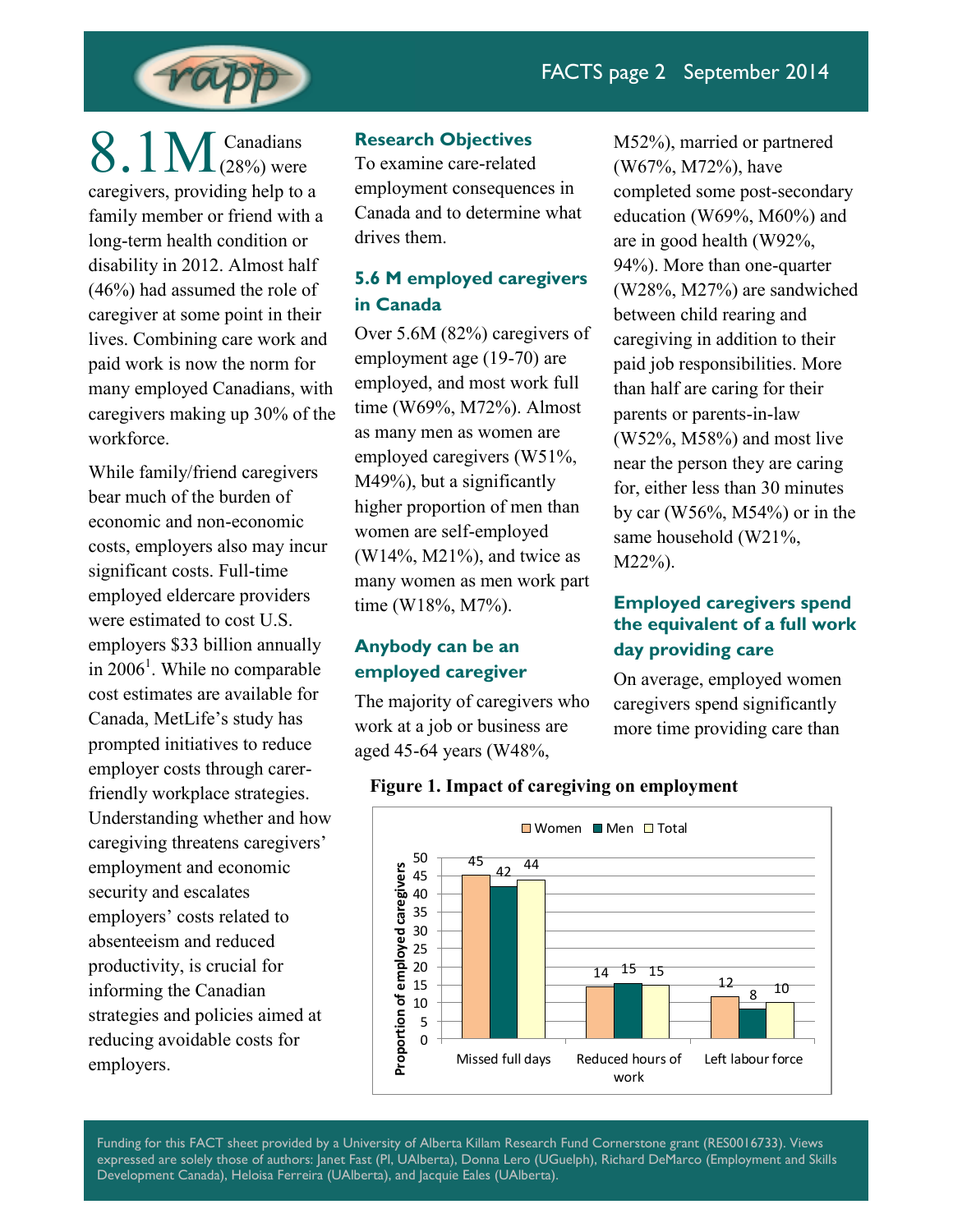

 $8.1M$  Canadians caregivers, providing help to a family member or friend with a long-term health condition or disability in 2012. Almost half (46%) had assumed the role of caregiver at some point in their lives. Combining care work and paid work is now the norm for many employed Canadians, with caregivers making up 30% of the workforce.

While family/friend caregivers bear much of the burden of economic and non-economic costs, employers also may incur significant costs. Full-time employed eldercare providers were estimated to cost U.S. employers \$33 billion annually in  $2006<sup>1</sup>$ . While no comparable cost estimates are available for Canada, MetLife's study has prompted initiatives to reduce employer costs through carerfriendly workplace strategies. Understanding whether and how caregiving threatens caregivers' employment and economic security and escalates employers' costs related to absenteeism and reduced productivity, is crucial for informing the Canadian strategies and policies aimed at reducing avoidable costs for employers.

## **Research Objectives**

To examine care-related employment consequences in Canada and to determine what drives them.

# **5.6 M employed caregivers in Canada**

Over 5.6M (82%) caregivers of employment age (19-70) are employed, and most work full time (W69%, M72%). Almost as many men as women are employed caregivers (W51%, M49%), but a significantly higher proportion of men than women are self-employed (W14%, M21%), and twice as many women as men work part time (W18%, M7%).

# **Anybody can be an employed caregiver**

The majority of caregivers who work at a job or business are aged 45-64 years (W48%,

M52%), married or partnered (W67%, M72%), have completed some post-secondary education (W69%, M60%) and are in good health (W92%, 94%). More than one-quarter (W28%, M27%) are sandwiched between child rearing and caregiving in addition to their paid job responsibilities. More than half are caring for their parents or parents-in-law (W52%, M58%) and most live near the person they are caring for, either less than 30 minutes by car (W56%, M54%) or in the same household (W21%, M22%).

# **Employed caregivers spend the equivalent of a full work day providing care**

On average, employed women caregivers spend significantly more time providing care than



## **Figure 1. Impact of caregiving on employment**

Funding for this FACT sheet provided by a University of Alberta Killam Research Fund Cornerstone grant (RES0016733). Views expressed are solely those of authors: Janet Fast (PI, UAlberta), Donna Lero (UGuelph), Richard DeMarco (Employment and Skills Development Canada), Heloisa Ferreira (UAlberta), and Jacquie Eales (UAlberta).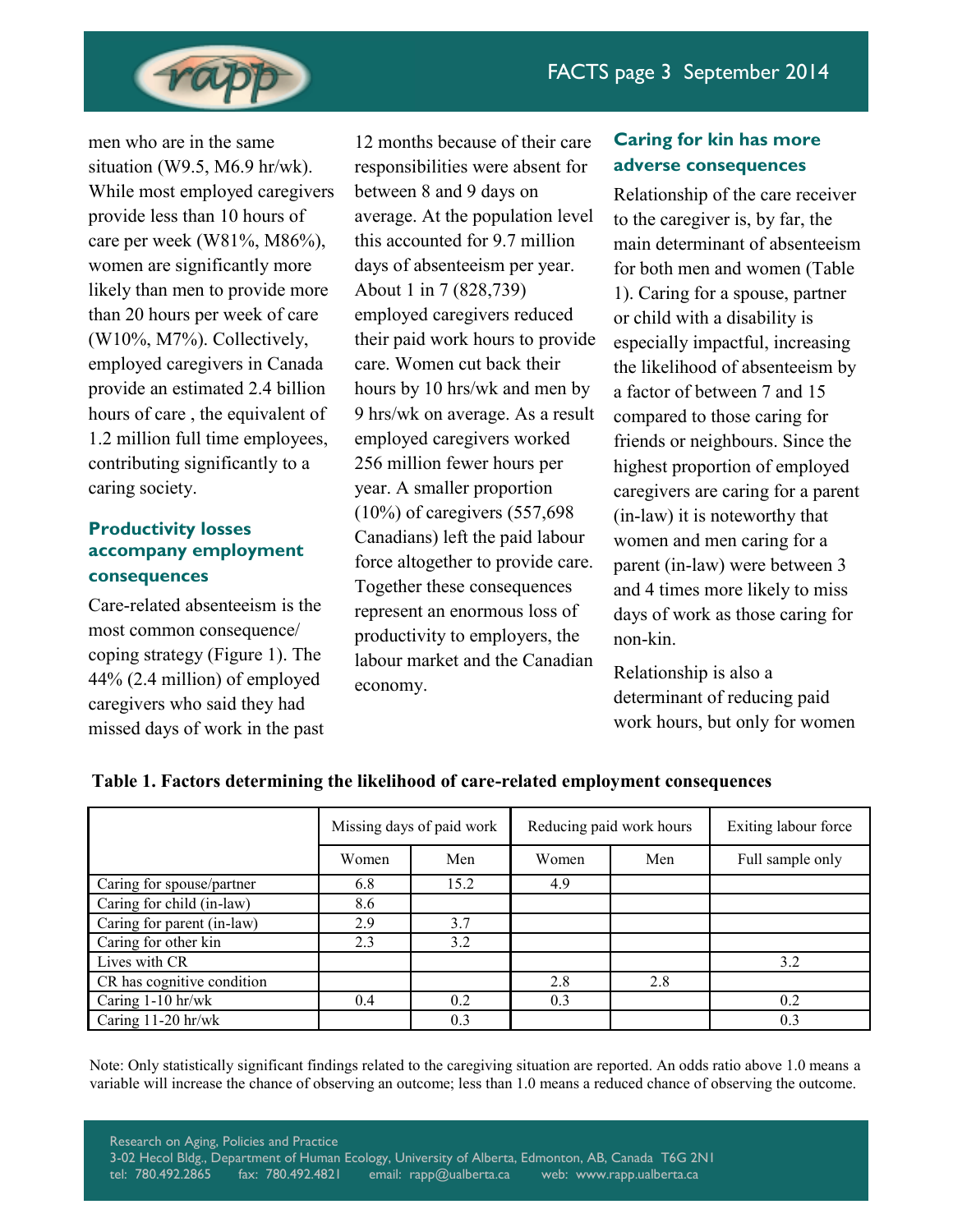

men who are in the same situation (W9.5, M6.9 hr/wk). While most employed caregivers provide less than 10 hours of care per week (W81%, M86%), women are significantly more likely than men to provide more than 20 hours per week of care (W10%, M7%). Collectively, employed caregivers in Canada provide an estimated 2.4 billion hours of care , the equivalent of 1.2 million full time employees, contributing significantly to a caring society.

# **Productivity losses accompany employment consequences**

Care-related absenteeism is the most common consequence/ coping strategy (Figure 1). The 44% (2.4 million) of employed caregivers who said they had missed days of work in the past

12 months because of their care responsibilities were absent for between 8 and 9 days on average. At the population level this accounted for 9.7 million days of absenteeism per year. About 1 in 7 (828,739) employed caregivers reduced their paid work hours to provide care. Women cut back their hours by 10 hrs/wk and men by 9 hrs/wk on average. As a result employed caregivers worked 256 million fewer hours per year. A smaller proportion (10%) of caregivers (557,698 Canadians) left the paid labour force altogether to provide care. Together these consequences represent an enormous loss of productivity to employers, the labour market and the Canadian economy.

# **Caring for kin has more adverse consequences**

Relationship of the care receiver to the caregiver is, by far, the main determinant of absenteeism for both men and women (Table 1). Caring for a spouse, partner or child with a disability is especially impactful, increasing the likelihood of absenteeism by a factor of between 7 and 15 compared to those caring for friends or neighbours. Since the highest proportion of employed caregivers are caring for a parent (in-law) it is noteworthy that women and men caring for a parent (in-law) were between 3 and 4 times more likely to miss days of work as those caring for non-kin.

Relationship is also a determinant of reducing paid work hours, but only for women

|                            | Missing days of paid work |      | Reducing paid work hours |     | Exiting labour force |
|----------------------------|---------------------------|------|--------------------------|-----|----------------------|
|                            | Women                     | Men  | Women                    | Men | Full sample only     |
| Caring for spouse/partner  | 6.8                       | 15.2 | 4.9                      |     |                      |
| Caring for child (in-law)  | 8.6                       |      |                          |     |                      |
| Caring for parent (in-law) | 2.9                       | 3.7  |                          |     |                      |
| Caring for other kin       | 2.3                       | 3.2  |                          |     |                      |
| Lives with CR              |                           |      |                          |     | 3.2                  |
| CR has cognitive condition |                           |      | 2.8                      | 2.8 |                      |
| Caring 1-10 hr/wk          | 0.4                       | 0.2  | 0.3                      |     | 0.2                  |
| Caring $11-20$ hr/wk       |                           | 0.3  |                          |     | 0.3                  |

## **Table 1. Factors determining the likelihood of care-related employment consequences**

Note: Only statistically significant findings related to the caregiving situation are reported. An odds ratio above 1.0 means a variable will increase the chance of observing an outcome; less than 1.0 means a reduced chance of observing the outcome.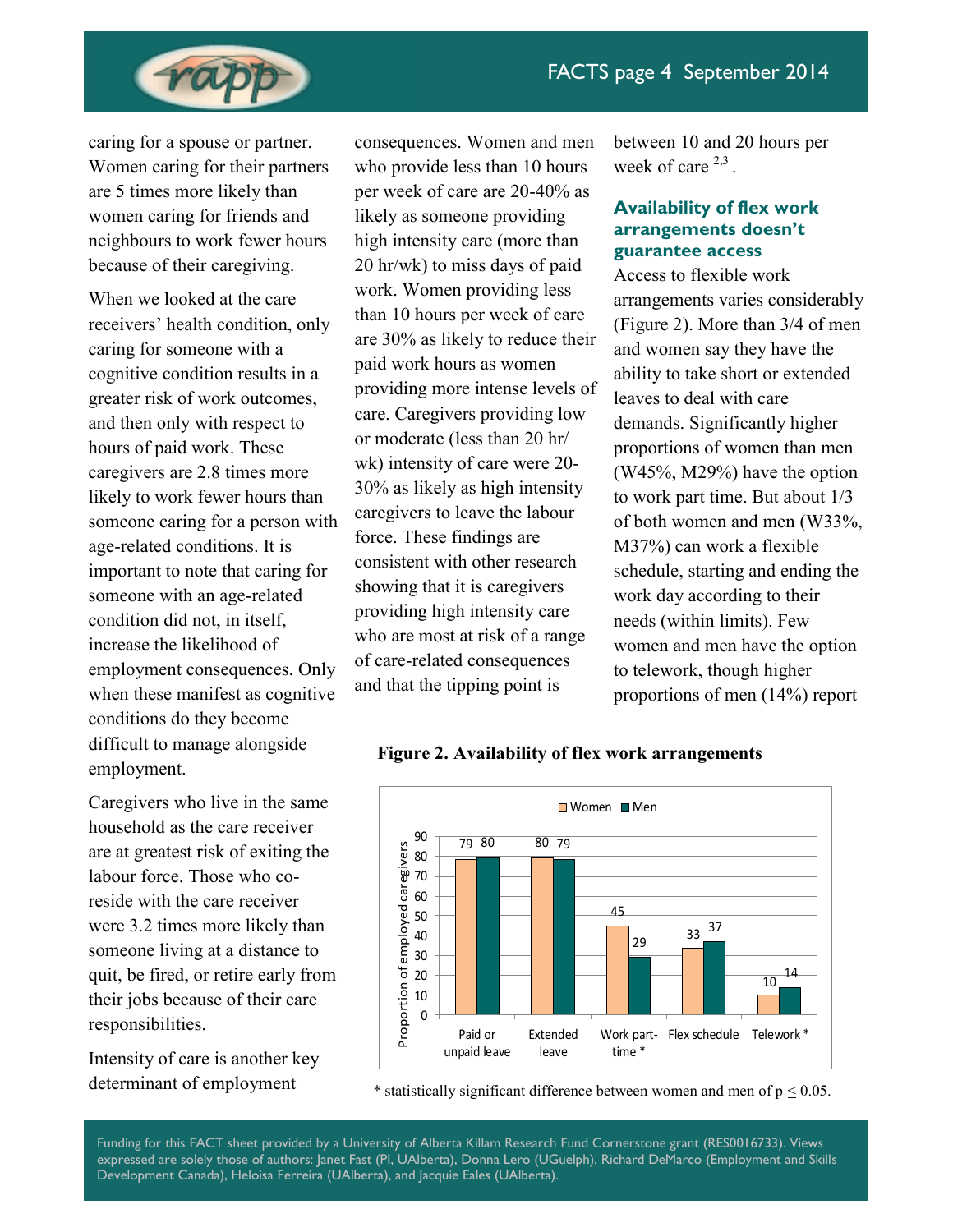

caring for a spouse or partner. Women caring for their partners are 5 times more likely than women caring for friends and neighbours to work fewer hours because of their caregiving.

When we looked at the care receivers' health condition, only caring for someone with a cognitive condition results in a greater risk of work outcomes, and then only with respect to hours of paid work. These caregivers are 2.8 times more likely to work fewer hours than someone caring for a person with age-related conditions. It is important to note that caring for someone with an age-related condition did not, in itself, increase the likelihood of employment consequences. Only when these manifest as cognitive conditions do they become difficult to manage alongside employment.

Caregivers who live in the same household as the care receiver are at greatest risk of exiting the labour force. Those who coreside with the care receiver were 3.2 times more likely than someone living at a distance to quit, be fired, or retire early from their jobs because of their care responsibilities.

Intensity of care is another key determinant of employment

consequences. Women and men who provide less than 10 hours per week of care are 20-40% as likely as someone providing high intensity care (more than 20 hr/wk) to miss days of paid work. Women providing less than 10 hours per week of care are 30% as likely to reduce their paid work hours as women providing more intense levels of care. Caregivers providing low or moderate (less than 20 hr/ wk) intensity of care were 20- 30% as likely as high intensity caregivers to leave the labour force. These findings are consistent with other research showing that it is caregivers providing high intensity care who are most at risk of a range of care-related consequences and that the tipping point is

between 10 and 20 hours per week of care  $2,3$ .

## **Availability of flex work arrangements doesn't guarantee access**

Access to flexible work arrangements varies considerably (Figure 2). More than 3/4 of men and women say they have the ability to take short or extended leaves to deal with care demands. Significantly higher proportions of women than men (W45%, M29%) have the option to work part time. But about 1/3 of both women and men (W33%, M37%) can work a flexible schedule, starting and ending the work day according to their needs (within limits). Few women and men have the option to telework, though higher proportions of men (14%) report

## **Figure 2. Availability of flex work arrangements**



\* statistically significant difference between women and men of  $p < 0.05$ .

Funding for this FACT sheet provided by a University of Alberta Killam Research Fund Cornerstone grant (RES0016733). Views expressed are solely those of authors: Janet Fast (PI, UAlberta), Donna Lero (UGuelph), Richard DeMarco (Employment and Skills Development Canada), Heloisa Ferreira (UAlberta), and Jacquie Eales (UAlberta).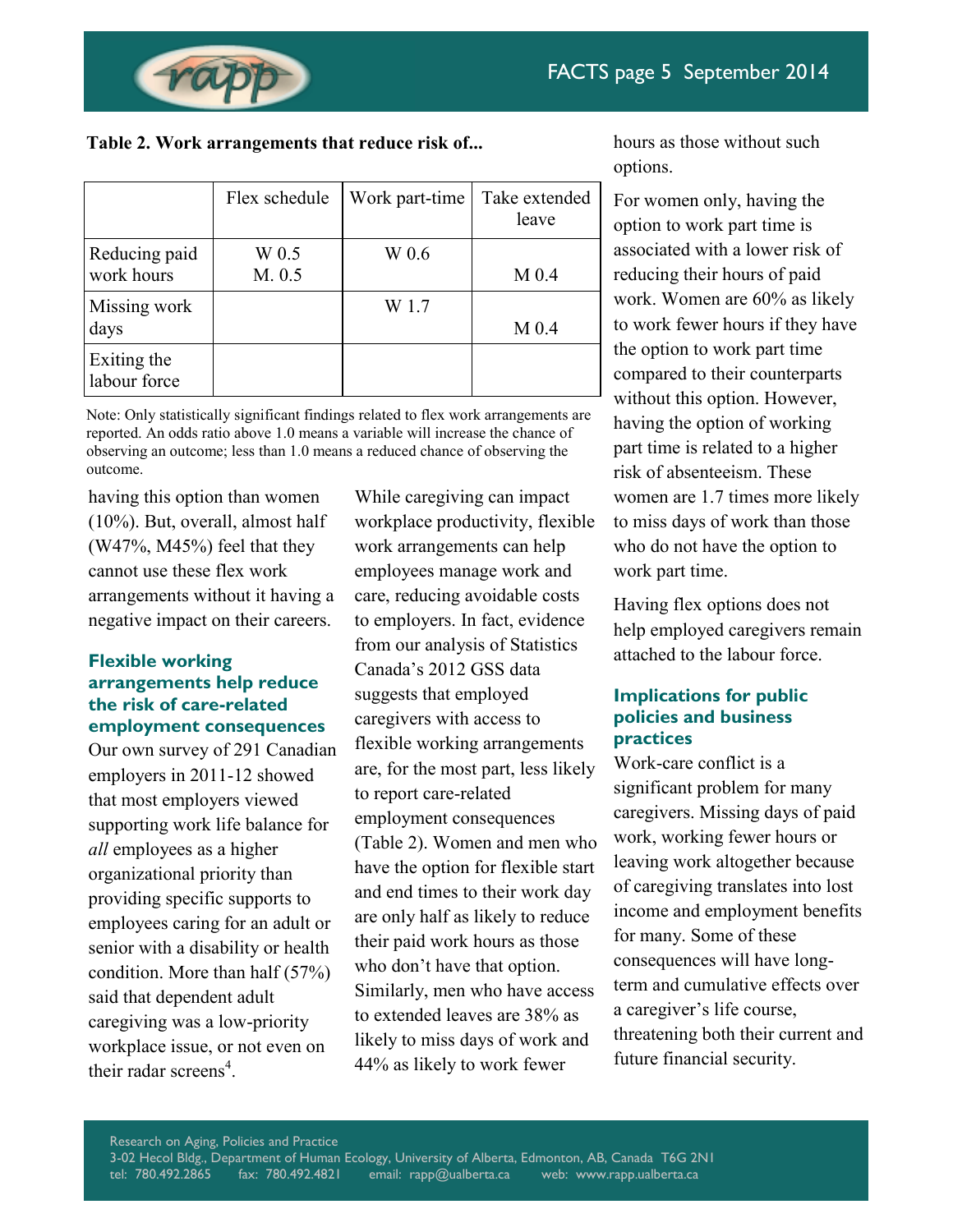

**Table 2. Work arrangements that reduce risk of...**

|                             | Flex schedule | Work part-time | Take extended<br>leave |
|-----------------------------|---------------|----------------|------------------------|
| Reducing paid               | W 0.5         | W 0.6          |                        |
| work hours                  | M. 0.5        |                | M <sub>0.4</sub>       |
| Missing work                |               | W 1.7          |                        |
| days                        |               |                | M <sub>0.4</sub>       |
| Exiting the<br>labour force |               |                |                        |

Note: Only statistically significant findings related to flex work arrangements are reported. An odds ratio above 1.0 means a variable will increase the chance of observing an outcome; less than 1.0 means a reduced chance of observing the outcome.

having this option than women (10%). But, overall, almost half  $(W47\%, M45\%)$  feel that they cannot use these flex work arrangements without it having a negative impact on their careers.

# **Flexible working arrangements help reduce the risk of care-related employment consequences**

Our own survey of 291 Canadian employers in 2011-12 showed that most employers viewed supporting work life balance for *all* employees as a higher organizational priority than providing specific supports to employees caring for an adult or senior with a disability or health condition. More than half (57%) said that dependent adult caregiving was a low-priority workplace issue, or not even on their radar screens<sup>4</sup>.

While caregiving can impact workplace productivity, flexible work arrangements can help employees manage work and care, reducing avoidable costs to employers. In fact, evidence from our analysis of Statistics Canada's 2012 GSS data suggests that employed caregivers with access to flexible working arrangements are, for the most part, less likely to report care-related employment consequences (Table 2). Women and men who have the option for flexible start and end times to their work day are only half as likely to reduce their paid work hours as those who don't have that option. Similarly, men who have access to extended leaves are 38% as likely to miss days of work and 44% as likely to work fewer

hours as those without such options.

For women only, having the option to work part time is associated with a lower risk of reducing their hours of paid work. Women are 60% as likely to work fewer hours if they have the option to work part time compared to their counterparts without this option. However, having the option of working part time is related to a higher risk of absenteeism. These women are 1.7 times more likely to miss days of work than those who do not have the option to work part time.

Having flex options does not help employed caregivers remain attached to the labour force.

## **Implications for public policies and business practices**

Work-care conflict is a significant problem for many caregivers. Missing days of paid work, working fewer hours or leaving work altogether because of caregiving translates into lost income and employment benefits for many. Some of these consequences will have longterm and cumulative effects over a caregiver's life course, threatening both their current and future financial security.